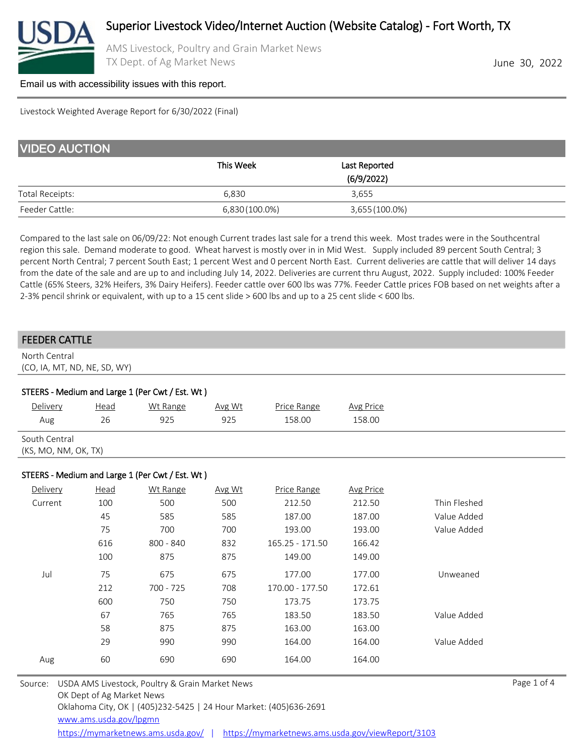

AMS Livestock, Poultry and Grain Market News TX Dept. of Ag Market News **June 30, 2022** 

#### [Email us with accessibility issues with this report.](mailto:mars@ams.usda.gov?subjectNot%20able%20to%20access%20video%20auction%20report)

Livestock Weighted Average Report for 6/30/2022 (Final)

| <b>VIDEO AUCTION</b>   |                |                |  |  |  |  |  |
|------------------------|----------------|----------------|--|--|--|--|--|
|                        | This Week      | Last Reported  |  |  |  |  |  |
|                        |                | (6/9/2022)     |  |  |  |  |  |
| <b>Total Receipts:</b> | 6.830          | 3.655          |  |  |  |  |  |
| Feeder Cattle:         | 6,830 (100.0%) | 3,655 (100.0%) |  |  |  |  |  |

Compared to the last sale on 06/09/22: Not enough Current trades last sale for a trend this week. Most trades were in the Southcentral region this sale. Demand moderate to good. Wheat harvest is mostly over in in Mid West. Supply included 89 percent South Central; 3 percent North Central; 7 percent South East; 1 percent West and 0 percent North East. Current deliveries are cattle that will deliver 14 days from the date of the sale and are up to and including July 14, 2022. Deliveries are current thru August, 2022. Supply included: 100% Feeder Cattle (65% Steers, 32% Heifers, 3% Dairy Heifers). Feeder cattle over 600 lbs was 77%. Feeder Cattle prices FOB based on net weights after a 2-3% pencil shrink or equivalent, with up to a 15 cent slide > 600 lbs and up to a 25 cent slide < 600 lbs.

#### FEEDER CATTLE

North Central (CO, IA, MT, ND, NE, SD, WY)

| STEERS - Medium and Large 1 (Per Cwt / Est. Wt) |      |          |        |             |                  |  |  |  |
|-------------------------------------------------|------|----------|--------|-------------|------------------|--|--|--|
| Delivery                                        | Head | Wt Range | Avg Wt | Price Range | <b>Avg Price</b> |  |  |  |
| Aug                                             | 26   | 925      | 925    | 158.00      | 158.00           |  |  |  |
| South Central                                   |      |          |        |             |                  |  |  |  |
| (KS, MO, NM, OK, TX)                            |      |          |        |             |                  |  |  |  |
|                                                 |      |          |        |             |                  |  |  |  |

#### STEERS - Medium and Large 1 (Per Cwt / Est. Wt )

| Delivery | <b>Head</b> | Wt Range    | Avg Wt | Price Range     | <b>Avg Price</b> |              |
|----------|-------------|-------------|--------|-----------------|------------------|--------------|
| Current  | 100         | 500         | 500    | 212.50          | 212.50           | Thin Fleshed |
|          | 45          | 585         | 585    | 187.00          | 187.00           | Value Added  |
|          | 75          | 700         | 700    | 193.00          | 193.00           | Value Added  |
|          | 616         | $800 - 840$ | 832    | 165.25 - 171.50 | 166.42           |              |
|          | 100         | 875         | 875    | 149.00          | 149.00           |              |
| Jul      | 75          | 675         | 675    | 177.00          | 177.00           | Unweaned     |
|          | 212         | 700 - 725   | 708    | 170.00 - 177.50 | 172.61           |              |
|          | 600         | 750         | 750    | 173.75          | 173.75           |              |
|          | 67          | 765         | 765    | 183.50          | 183.50           | Value Added  |
|          | 58          | 875         | 875    | 163.00          | 163.00           |              |
|          | 29          | 990         | 990    | 164.00          | 164.00           | Value Added  |
| Aug      | 60          | 690         | 690    | 164.00          | 164.00           |              |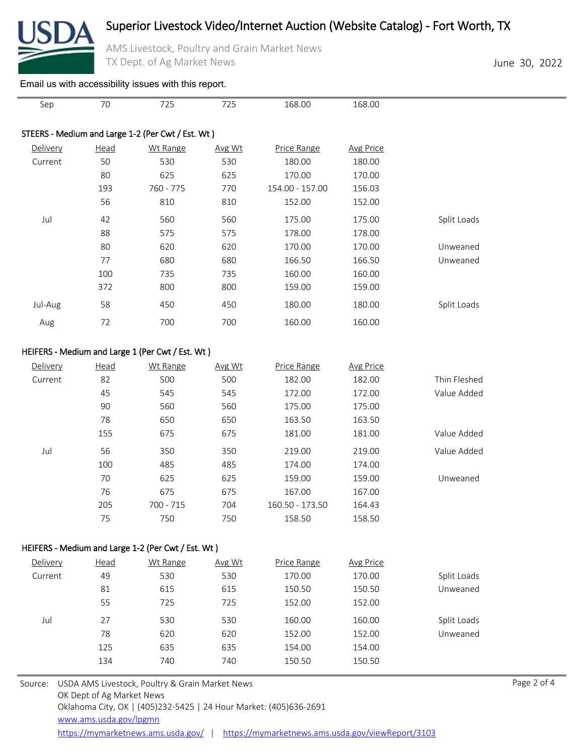

## Superior Livestock Video/Internet Auction (Website Catalog) - Fort Worth, TX

AMS Livestock, Poultry and Grain Market News TX Dept. of Ag Market News **June 30, 2022** 

### [Email us with accessibility issues with this report.](mailto:mars@ams.usda.gov?subjectNot%20able%20to%20access%20video%20auction%20report)

| Sep                                               | 70   | 725                                              | 725    | 168.00          | 168.00           |             |  |  |
|---------------------------------------------------|------|--------------------------------------------------|--------|-----------------|------------------|-------------|--|--|
|                                                   |      |                                                  |        |                 |                  |             |  |  |
| STEERS - Medium and Large 1-2 (Per Cwt / Est. Wt) |      |                                                  |        |                 |                  |             |  |  |
| Delivery                                          | Head | Wt Range                                         | Avg Wt | Price Range     | <b>Avg Price</b> |             |  |  |
| Current                                           | 50   | 530                                              | 530    | 180.00          | 180.00           |             |  |  |
|                                                   | 80   | 625                                              | 625    | 170.00          | 170.00           |             |  |  |
|                                                   | 193  | 760 - 775                                        | 770    | 154.00 - 157.00 | 156.03           |             |  |  |
|                                                   | 56   | 810                                              | 810    | 152.00          | 152.00           |             |  |  |
| Jul                                               | 42   | 560                                              | 560    | 175.00          | 175.00           | Split Loads |  |  |
|                                                   | 88   | 575                                              | 575    | 178.00          | 178.00           |             |  |  |
|                                                   | 80   | 620                                              | 620    | 170.00          | 170.00           | Unweaned    |  |  |
|                                                   | 77   | 680                                              | 680    | 166.50          | 166.50           | Unweaned    |  |  |
|                                                   | 100  | 735                                              | 735    | 160.00          | 160.00           |             |  |  |
|                                                   | 372  | 800                                              | 800    | 159.00          | 159.00           |             |  |  |
| Jul-Aug                                           | 58   | 450                                              | 450    | 180.00          | 180.00           | Split Loads |  |  |
| Aug                                               | 72   | 700                                              | 700    | 160.00          | 160.00           |             |  |  |
|                                                   |      |                                                  |        |                 |                  |             |  |  |
|                                                   |      | HEIFERS - Medium and Large 1 (Per Cwt / Est. Wt) |        |                 |                  |             |  |  |

### HEIFERS - Medium and Large 1 (Per Cwt / Est. Wt )

| Delivery | <b>Head</b> | Wt Range  | Avg Wt | Price Range     | Avg Price |              |
|----------|-------------|-----------|--------|-----------------|-----------|--------------|
| Current  | 82          | 500       | 500    | 182.00          | 182.00    | Thin Fleshed |
|          | 45          | 545       | 545    | 172.00          | 172.00    | Value Added  |
|          | 90          | 560       | 560    | 175.00          | 175.00    |              |
|          | 78          | 650       | 650    | 163.50          | 163.50    |              |
|          | 155         | 675       | 675    | 181.00          | 181.00    | Value Added  |
| Jul      | 56          | 350       | 350    | 219.00          | 219.00    | Value Added  |
|          | 100         | 485       | 485    | 174.00          | 174.00    |              |
|          | 70          | 625       | 625    | 159.00          | 159.00    | Unweaned     |
|          | 76          | 675       | 675    | 167.00          | 167.00    |              |
|          | 205         | 700 - 715 | 704    | 160.50 - 173.50 | 164.43    |              |
|          | 75          | 750       | 750    | 158.50          | 158.50    |              |

### HEIFERS - Medium and Large 1-2 (Per Cwt / Est. Wt )

| Delivery | <b>Head</b> | Wt Range | Avg Wt | Price Range | Avg Price |             |
|----------|-------------|----------|--------|-------------|-----------|-------------|
| Current  | 49          | 530      | 530    | 170.00      | 170.00    | Split Loads |
|          | 81          | 615      | 615    | 150.50      | 150.50    | Unweaned    |
|          | 55          | 725      | 725    | 152.00      | 152.00    |             |
| Jul      | 27          | 530      | 530    | 160.00      | 160.00    | Split Loads |
|          | 78          | 620      | 620    | 152.00      | 152.00    | Unweaned    |
|          | 125         | 635      | 635    | 154.00      | 154.00    |             |
|          | 134         | 740      | 740    | 150.50      | 150.50    |             |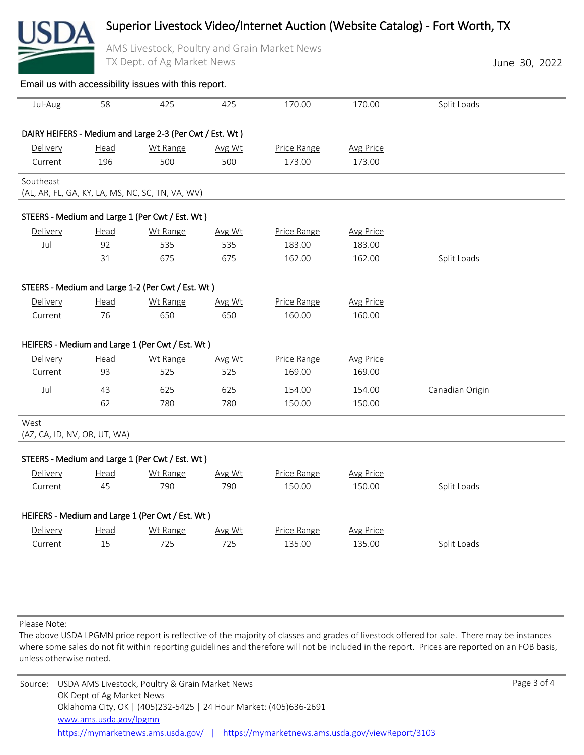## Superior Livestock Video/Internet Auction (Website Catalog) - Fort Worth, TX

AMS Livestock, Poultry and Grain Market News

| TX Dept. of Ag Market News           |             |                                                          |        |             |                  | June 30, 2022   |  |  |
|--------------------------------------|-------------|----------------------------------------------------------|--------|-------------|------------------|-----------------|--|--|
|                                      |             | Email us with accessibility issues with this report.     |        |             |                  |                 |  |  |
| Jul-Aug                              | 58          | 425                                                      | 425    | 170.00      | 170.00           | Split Loads     |  |  |
|                                      |             | DAIRY HEIFERS - Medium and Large 2-3 (Per Cwt / Est. Wt) |        |             |                  |                 |  |  |
| Delivery                             | Head        | Wt Range                                                 | Avg Wt | Price Range | <b>Avg Price</b> |                 |  |  |
| Current                              | 196         | 500                                                      | 500    | 173.00      | 173.00           |                 |  |  |
| Southeast                            |             | (AL, AR, FL, GA, KY, LA, MS, NC, SC, TN, VA, WV)         |        |             |                  |                 |  |  |
|                                      |             | STEERS - Medium and Large 1 (Per Cwt / Est. Wt)          |        |             |                  |                 |  |  |
| Delivery                             | Head        | Wt Range                                                 | Avg Wt | Price Range | <b>Avg Price</b> |                 |  |  |
| Jul                                  | 92          | 535                                                      | 535    | 183.00      | 183.00           |                 |  |  |
|                                      | 31          | 675                                                      | 675    | 162.00      | 162.00           | Split Loads     |  |  |
|                                      |             | STEERS - Medium and Large 1-2 (Per Cwt / Est. Wt)        |        |             |                  |                 |  |  |
| Delivery                             | Head        | Wt Range                                                 | Avg Wt | Price Range | <b>Avg Price</b> |                 |  |  |
| Current                              | 76          | 650                                                      | 650    | 160.00      | 160.00           |                 |  |  |
|                                      |             | HEIFERS - Medium and Large 1 (Per Cwt / Est. Wt)         |        |             |                  |                 |  |  |
| Delivery                             | <u>Head</u> | Wt Range                                                 | Avg Wt | Price Range | <b>Avg Price</b> |                 |  |  |
| Current                              | 93          | 525                                                      | 525    | 169.00      | 169.00           |                 |  |  |
| Jul                                  | 43          | 625                                                      | 625    | 154.00      | 154.00           | Canadian Origin |  |  |
|                                      | 62          | 780                                                      | 780    | 150.00      | 150.00           |                 |  |  |
| West<br>(AZ, CA, ID, NV, OR, UT, WA) |             |                                                          |        |             |                  |                 |  |  |
|                                      |             | STEERS - Medium and Large 1 (Per Cwt / Est. Wt)          |        |             |                  |                 |  |  |
| Delivery                             | <u>Head</u> | Wt Range                                                 | Avg Wt | Price Range | <b>Avg Price</b> |                 |  |  |
| Current                              | 45          | 790                                                      | 790    | 150.00      | 150.00           | Split Loads     |  |  |
|                                      |             | HEIFERS - Medium and Large 1 (Per Cwt / Est. Wt)         |        |             |                  |                 |  |  |
| Delivery                             | <u>Head</u> | Wt Range                                                 | Avg Wt | Price Range | <b>Avg Price</b> |                 |  |  |
| Current                              | 15          | 725                                                      | 725    | 135.00      | 135.00           | Split Loads     |  |  |
|                                      |             |                                                          |        |             |                  |                 |  |  |

Please Note:

The above USDA LPGMN price report is reflective of the majority of classes and grades of livestock offered for sale. There may be instances where some sales do not fit within reporting guidelines and therefore will not be included in the report. Prices are reported on an FOB basis, unless otherwise noted.